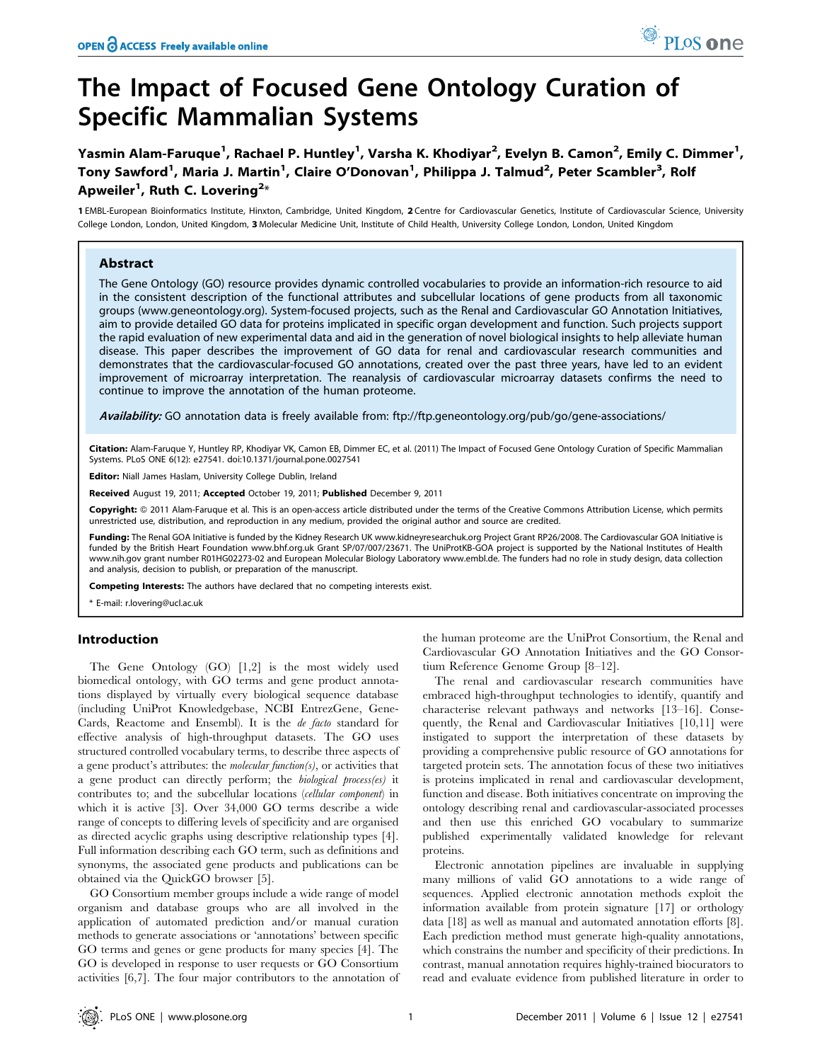# The Impact of Focused Gene Ontology Curation of Specific Mammalian Systems

Yasmin Alam-Faruque<sup>1</sup>, Rachael P. Huntley<sup>1</sup>, Varsha K. Khodiyar<sup>2</sup>, Evelyn B. Camon<sup>2</sup>, Emily C. Dimmer<sup>1</sup>, Tony Sawford<sup>1</sup>, Maria J. Martin<sup>1</sup>, Claire O'Donovan<sup>1</sup>, Philippa J. Talmud<sup>2</sup>, Peter Scambler<sup>3</sup>, Rolf Apweiler $^1$ , Ruth C. Lovering $^{2\star}$ 

1 EMBL-European Bioinformatics Institute, Hinxton, Cambridge, United Kingdom, 2 Centre for Cardiovascular Genetics, Institute of Cardiovascular Science, University College London, London, United Kingdom, 3 Molecular Medicine Unit, Institute of Child Health, University College London, London, United Kingdom

# Abstract

The Gene Ontology (GO) resource provides dynamic controlled vocabularies to provide an information-rich resource to aid in the consistent description of the functional attributes and subcellular locations of gene products from all taxonomic groups (www.geneontology.org). System-focused projects, such as the Renal and Cardiovascular GO Annotation Initiatives, aim to provide detailed GO data for proteins implicated in specific organ development and function. Such projects support the rapid evaluation of new experimental data and aid in the generation of novel biological insights to help alleviate human disease. This paper describes the improvement of GO data for renal and cardiovascular research communities and demonstrates that the cardiovascular-focused GO annotations, created over the past three years, have led to an evident improvement of microarray interpretation. The reanalysis of cardiovascular microarray datasets confirms the need to continue to improve the annotation of the human proteome.

Availability: GO annotation data is freely available from: ftp://ftp.geneontology.org/pub/go/gene-associations/

Citation: Alam-Faruque Y, Huntley RP, Khodiyar VK, Camon EB, Dimmer EC, et al. (2011) The Impact of Focused Gene Ontology Curation of Specific Mammalian Systems. PLoS ONE 6(12): e27541. doi:10.1371/journal.pone.0027541

Editor: Niall James Haslam, University College Dublin, Ireland

Received August 19, 2011; Accepted October 19, 2011; Published December 9, 2011

Copyright: © 2011 Alam-Faruque et al. This is an open-access article distributed under the terms of the Creative Commons Attribution License, which permits unrestricted use, distribution, and reproduction in any medium, provided the original author and source are credited.

Funding: The Renal GOA Initiative is funded by the Kidney Research UK www.kidneyresearchuk.org Project Grant RP26/2008. The Cardiovascular GOA Initiative is funded by the British Heart Foundation www.bhf.org.uk Grant SP/07/007/23671. The UniProtKB-GOA project is supported by the National Institutes of Health www.nih.gov grant number R01HG02273-02 and European Molecular Biology Laboratory www.embl.de. The funders had no role in study design, data collection and analysis, decision to publish, or preparation of the manuscript.

Competing Interests: The authors have declared that no competing interests exist.

\* E-mail: r.lovering@ucl.ac.uk

## Introduction

The Gene Ontology (GO) [1,2] is the most widely used biomedical ontology, with GO terms and gene product annotations displayed by virtually every biological sequence database (including UniProt Knowledgebase, NCBI EntrezGene, Gene-Cards, Reactome and Ensembl). It is the de facto standard for effective analysis of high-throughput datasets. The GO uses structured controlled vocabulary terms, to describe three aspects of a gene product's attributes: the *molecular function(s)*, or activities that a gene product can directly perform; the biological process(es) it contributes to; and the subcellular locations (cellular component) in which it is active [3]. Over 34,000 GO terms describe a wide range of concepts to differing levels of specificity and are organised as directed acyclic graphs using descriptive relationship types [4]. Full information describing each GO term, such as definitions and synonyms, the associated gene products and publications can be obtained via the QuickGO browser [5].

GO Consortium member groups include a wide range of model organism and database groups who are all involved in the application of automated prediction and/or manual curation methods to generate associations or 'annotations' between specific GO terms and genes or gene products for many species [4]. The GO is developed in response to user requests or GO Consortium activities [6,7]. The four major contributors to the annotation of the human proteome are the UniProt Consortium, the Renal and Cardiovascular GO Annotation Initiatives and the GO Consortium Reference Genome Group [8–12].

The renal and cardiovascular research communities have embraced high-throughput technologies to identify, quantify and characterise relevant pathways and networks [13–16]. Consequently, the Renal and Cardiovascular Initiatives [10,11] were instigated to support the interpretation of these datasets by providing a comprehensive public resource of GO annotations for targeted protein sets. The annotation focus of these two initiatives is proteins implicated in renal and cardiovascular development, function and disease. Both initiatives concentrate on improving the ontology describing renal and cardiovascular-associated processes and then use this enriched GO vocabulary to summarize published experimentally validated knowledge for relevant proteins.

Electronic annotation pipelines are invaluable in supplying many millions of valid GO annotations to a wide range of sequences. Applied electronic annotation methods exploit the information available from protein signature [17] or orthology data [18] as well as manual and automated annotation efforts [8]. Each prediction method must generate high-quality annotations, which constrains the number and specificity of their predictions. In contrast, manual annotation requires highly-trained biocurators to read and evaluate evidence from published literature in order to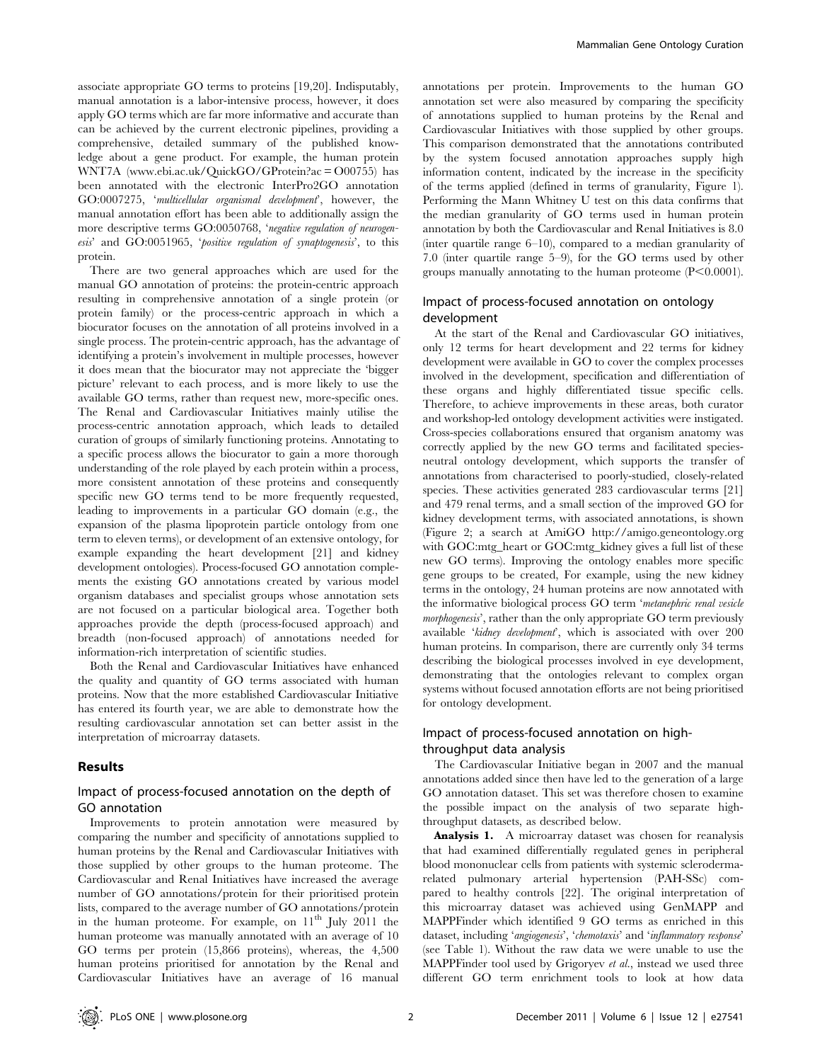associate appropriate GO terms to proteins [19,20]. Indisputably, manual annotation is a labor-intensive process, however, it does apply GO terms which are far more informative and accurate than can be achieved by the current electronic pipelines, providing a comprehensive, detailed summary of the published knowledge about a gene product. For example, the human protein WNT7A (www.ebi.ac.uk/QuickGO/GProtein?ac = O00755) has been annotated with the electronic InterPro2GO annotation GO:0007275, 'multicellular organismal development', however, the manual annotation effort has been able to additionally assign the more descriptive terms GO:0050768, 'negative regulation of neurogenesis' and GO:0051965, 'positive regulation of synaptogenesis', to this protein.

There are two general approaches which are used for the manual GO annotation of proteins: the protein-centric approach resulting in comprehensive annotation of a single protein (or protein family) or the process-centric approach in which a biocurator focuses on the annotation of all proteins involved in a single process. The protein-centric approach, has the advantage of identifying a protein's involvement in multiple processes, however it does mean that the biocurator may not appreciate the 'bigger picture' relevant to each process, and is more likely to use the available GO terms, rather than request new, more-specific ones. The Renal and Cardiovascular Initiatives mainly utilise the process-centric annotation approach, which leads to detailed curation of groups of similarly functioning proteins. Annotating to a specific process allows the biocurator to gain a more thorough understanding of the role played by each protein within a process, more consistent annotation of these proteins and consequently specific new GO terms tend to be more frequently requested, leading to improvements in a particular GO domain (e.g., the expansion of the plasma lipoprotein particle ontology from one term to eleven terms), or development of an extensive ontology, for example expanding the heart development [21] and kidney development ontologies). Process-focused GO annotation complements the existing GO annotations created by various model organism databases and specialist groups whose annotation sets are not focused on a particular biological area. Together both approaches provide the depth (process-focused approach) and breadth (non-focused approach) of annotations needed for information-rich interpretation of scientific studies.

Both the Renal and Cardiovascular Initiatives have enhanced the quality and quantity of GO terms associated with human proteins. Now that the more established Cardiovascular Initiative has entered its fourth year, we are able to demonstrate how the resulting cardiovascular annotation set can better assist in the interpretation of microarray datasets.

#### Results

## Impact of process-focused annotation on the depth of GO annotation

Improvements to protein annotation were measured by comparing the number and specificity of annotations supplied to human proteins by the Renal and Cardiovascular Initiatives with those supplied by other groups to the human proteome. The Cardiovascular and Renal Initiatives have increased the average number of GO annotations/protein for their prioritised protein lists, compared to the average number of GO annotations/protein in the human proteome. For example, on  $11<sup>th</sup>$  July 2011 the human proteome was manually annotated with an average of 10 GO terms per protein (15,866 proteins), whereas, the 4,500 human proteins prioritised for annotation by the Renal and Cardiovascular Initiatives have an average of 16 manual

annotations per protein. Improvements to the human GO annotation set were also measured by comparing the specificity of annotations supplied to human proteins by the Renal and Cardiovascular Initiatives with those supplied by other groups. This comparison demonstrated that the annotations contributed by the system focused annotation approaches supply high information content, indicated by the increase in the specificity of the terms applied (defined in terms of granularity, Figure 1). Performing the Mann Whitney U test on this data confirms that the median granularity of GO terms used in human protein annotation by both the Cardiovascular and Renal Initiatives is 8.0 (inter quartile range 6–10), compared to a median granularity of 7.0 (inter quartile range 5–9), for the GO terms used by other groups manually annotating to the human proteome  $(P<0.0001)$ .

## Impact of process-focused annotation on ontology development

At the start of the Renal and Cardiovascular GO initiatives, only 12 terms for heart development and 22 terms for kidney development were available in GO to cover the complex processes involved in the development, specification and differentiation of these organs and highly differentiated tissue specific cells. Therefore, to achieve improvements in these areas, both curator and workshop-led ontology development activities were instigated. Cross-species collaborations ensured that organism anatomy was correctly applied by the new GO terms and facilitated speciesneutral ontology development, which supports the transfer of annotations from characterised to poorly-studied, closely-related species. These activities generated 283 cardiovascular terms [21] and 479 renal terms, and a small section of the improved GO for kidney development terms, with associated annotations, is shown (Figure 2; a search at AmiGO http://amigo.geneontology.org with GOC:mtg\_heart or GOC:mtg\_kidney gives a full list of these new GO terms). Improving the ontology enables more specific gene groups to be created, For example, using the new kidney terms in the ontology, 24 human proteins are now annotated with the informative biological process GO term 'metanephric renal vesicle morphogenesis', rather than the only appropriate GO term previously available 'kidney development', which is associated with over 200 human proteins. In comparison, there are currently only 34 terms describing the biological processes involved in eye development, demonstrating that the ontologies relevant to complex organ systems without focused annotation efforts are not being prioritised for ontology development.

# Impact of process-focused annotation on highthroughput data analysis

The Cardiovascular Initiative began in 2007 and the manual annotations added since then have led to the generation of a large GO annotation dataset. This set was therefore chosen to examine the possible impact on the analysis of two separate highthroughput datasets, as described below.

Analysis 1. A microarray dataset was chosen for reanalysis that had examined differentially regulated genes in peripheral blood mononuclear cells from patients with systemic sclerodermarelated pulmonary arterial hypertension (PAH-SSc) compared to healthy controls [22]. The original interpretation of this microarray dataset was achieved using GenMAPP and MAPPFinder which identified 9 GO terms as enriched in this dataset, including 'angiogenesis', 'chemotaxis' and 'inflammatory response' (see Table 1). Without the raw data we were unable to use the MAPPFinder tool used by Grigoryev et al., instead we used three different GO term enrichment tools to look at how data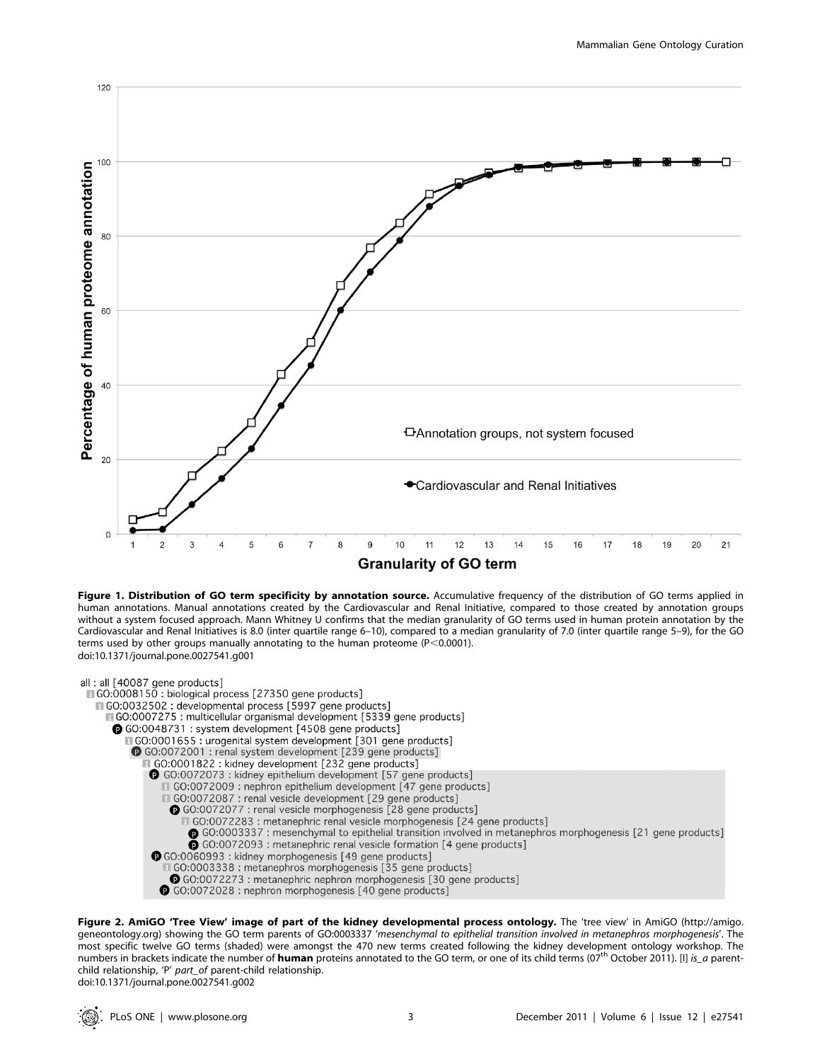

Figure 1. Distribution of GO term specificity by annotation source. Accumulative frequency of the distribution of GO terms applied in human annotations. Manual annotations created by the Cardiovascular and Renal Initiative, compared to those created by annotation groups without a system focused approach. Mann Whitney U confirms that the median granularity of GO terms used in human protein annotation by the Cardiovascular and Renal Initiatives is 8.0 (inter quartile range 6–10), compared to a median granularity of 7.0 (inter quartile range 5–9), for the GO terms used by other groups manually annotating to the human proteome ( $P<0.0001$ ). doi:10.1371/journal.pone.0027541.g001



Figure 2. AmiGO 'Tree View' image of part of the kidney developmental process ontology. The 'tree view' in AmiGO (http://amigo. geneontology.org) showing the GO term parents of GO:0003337 'mesenchymal to epithelial transition involved in metanephros morphogenesis'. The most specific twelve GO terms (shaded) were amongst the 470 new terms created following the kidney development ontology workshop. The numbers in brackets indicate the number of **human** proteins annotated to the GO term, or one of its child terms (07<sup>th</sup> October 2011). [I] is\_a parentchild relationship, 'P' part\_of parent-child relationship. doi:10.1371/journal.pone.0027541.g002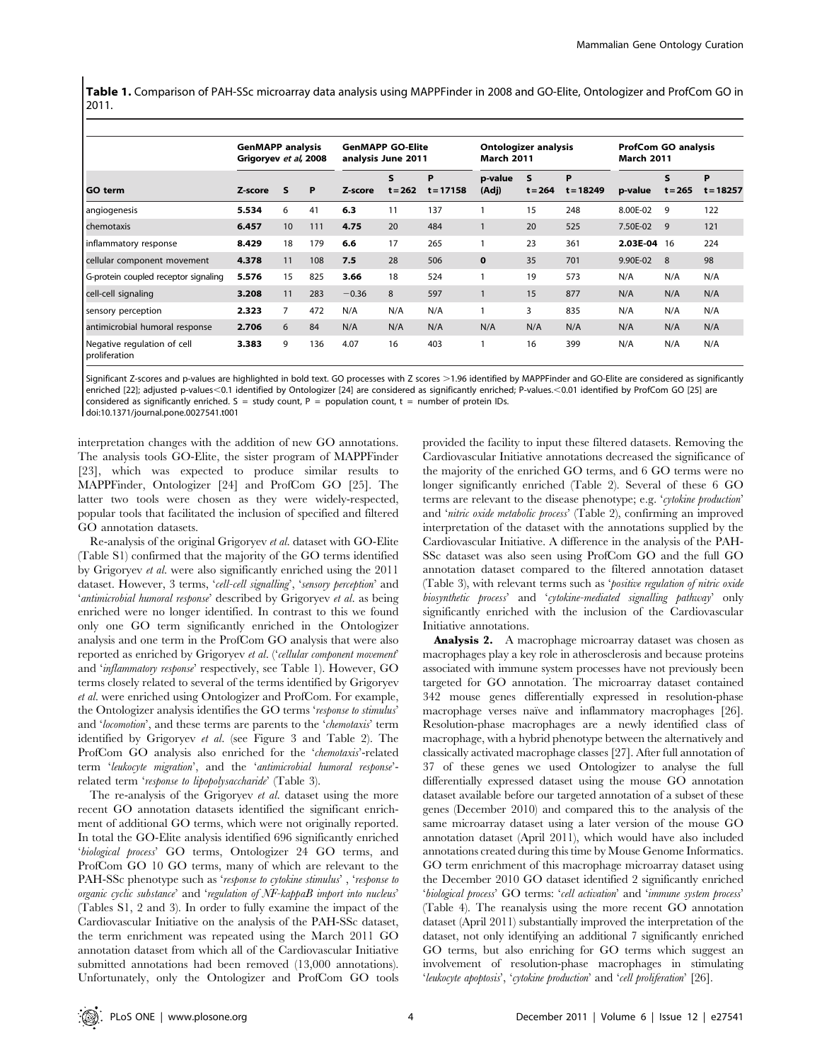Table 1. Comparison of PAH-SSc microarray data analysis using MAPPFinder in 2008 and GO-Elite, Ontologizer and ProfCom GO in 2011.

|                                              | <b>GenMAPP analysis</b><br>Grigoryev et al, 2008 |    |     | <b>GenMAPP GO-Elite</b><br>analysis June 2011 |                           |                  | <b>Ontologizer analysis</b><br><b>March 2011</b> |                |                  | <b>ProfCom GO analysis</b><br><b>March 2011</b> |                           |                  |
|----------------------------------------------|--------------------------------------------------|----|-----|-----------------------------------------------|---------------------------|------------------|--------------------------------------------------|----------------|------------------|-------------------------------------------------|---------------------------|------------------|
| <b>GO</b> term                               | Z-score                                          | s  | P   | Z-score                                       | $\mathsf{s}$<br>$t = 262$ | P<br>$t = 17158$ | p-value<br>(Adj)                                 | s<br>$t = 264$ | P<br>$t = 18249$ | p-value                                         | $\mathsf{s}$<br>$t = 265$ | P<br>$t = 18257$ |
| angiogenesis                                 | 5.534                                            | 6  | 41  | 6.3                                           | 11                        | 137              |                                                  | 15             | 248              | 8.00E-02                                        | 9                         | 122              |
| chemotaxis                                   | 6.457                                            | 10 | 111 | 4.75                                          | 20                        | 484              | $\mathbf{1}$                                     | 20             | 525              | 7.50E-02                                        | $\overline{q}$            | 121              |
| inflammatory response                        | 8.429                                            | 18 | 179 | 6.6                                           | 17                        | 265              |                                                  | 23             | 361              | 2.03E-04 16                                     |                           | 224              |
| cellular component movement                  | 4.378                                            | 11 | 108 | 7.5                                           | 28                        | 506              | $\mathbf 0$                                      | 35             | 701              | 9.90E-02                                        | -8                        | 98               |
| G-protein coupled receptor signaling         | 5.576                                            | 15 | 825 | 3.66                                          | 18                        | 524              |                                                  | 19             | 573              | N/A                                             | N/A                       | N/A              |
| cell-cell signaling                          | 3.208                                            | 11 | 283 | $-0.36$                                       | 8                         | 597              | $\mathbf{1}$                                     | 15             | 877              | N/A                                             | N/A                       | N/A              |
| sensory perception                           | 2.323                                            |    | 472 | N/A                                           | N/A                       | N/A              |                                                  | 3              | 835              | N/A                                             | N/A                       | N/A              |
| antimicrobial humoral response               | 2.706                                            | 6  | 84  | N/A                                           | N/A                       | N/A              | N/A                                              | N/A            | N/A              | N/A                                             | N/A                       | N/A              |
| Negative regulation of cell<br>proliferation | 3.383                                            | 9  | 136 | 4.07                                          | 16                        | 403              |                                                  | 16             | 399              | N/A                                             | N/A                       | N/A              |

Significant Z-scores and p-values are highlighted in bold text. GO processes with Z scores >1.96 identified by MAPPFinder and GO-Elite are considered as significantly enriched [22]; adjusted p-values<0.1 identified by Ontologizer [24] are considered as significantly enriched; P-values.<0.01 identified by ProfCom GO [25] are considered as significantly enriched. S = study count, P = population count, t = number of protein IDs.

doi:10.1371/journal.pone.0027541.t001

interpretation changes with the addition of new GO annotations. The analysis tools GO-Elite, the sister program of MAPPFinder [23], which was expected to produce similar results to MAPPFinder, Ontologizer [24] and ProfCom GO [25]. The latter two tools were chosen as they were widely-respected, popular tools that facilitated the inclusion of specified and filtered GO annotation datasets.

Re-analysis of the original Grigoryev et al. dataset with GO-Elite (Table S1) confirmed that the majority of the GO terms identified by Grigoryev et al. were also significantly enriched using the 2011 dataset. However, 3 terms, 'cell-cell signalling', 'sensory perception' and 'antimicrobial humoral response' described by Grigoryev et al. as being enriched were no longer identified. In contrast to this we found only one GO term significantly enriched in the Ontologizer analysis and one term in the ProfCom GO analysis that were also reported as enriched by Grigoryev et al. ('cellular component movement' and 'inflammatory response' respectively, see Table 1). However, GO terms closely related to several of the terms identified by Grigoryev et al. were enriched using Ontologizer and ProfCom. For example, the Ontologizer analysis identifies the GO terms 'response to stimulus' and 'locomotion', and these terms are parents to the 'chemotaxis' term identified by Grigoryev et al. (see Figure 3 and Table 2). The ProfCom GO analysis also enriched for the 'chemotaxis'-related term 'leukocyte migration', and the 'antimicrobial humoral response' related term 'response to lipopolysaccharide' (Table 3).

The re-analysis of the Grigoryev et al. dataset using the more recent GO annotation datasets identified the significant enrichment of additional GO terms, which were not originally reported. In total the GO-Elite analysis identified 696 significantly enriched 'biological process' GO terms, Ontologizer 24 GO terms, and ProfCom GO 10 GO terms, many of which are relevant to the PAH-SSc phenotype such as 'response to cytokine stimulus', 'response to organic cyclic substance' and 'regulation of NF-kappaB import into nucleus' (Tables S1, 2 and 3). In order to fully examine the impact of the Cardiovascular Initiative on the analysis of the PAH-SSc dataset, the term enrichment was repeated using the March 2011 GO annotation dataset from which all of the Cardiovascular Initiative submitted annotations had been removed (13,000 annotations). Unfortunately, only the Ontologizer and ProfCom GO tools

provided the facility to input these filtered datasets. Removing the Cardiovascular Initiative annotations decreased the significance of the majority of the enriched GO terms, and 6 GO terms were no longer significantly enriched (Table 2). Several of these 6 GO terms are relevant to the disease phenotype; e.g. 'cytokine production' and 'nitric oxide metabolic process' (Table 2), confirming an improved interpretation of the dataset with the annotations supplied by the Cardiovascular Initiative. A difference in the analysis of the PAH-SSc dataset was also seen using ProfCom GO and the full GO annotation dataset compared to the filtered annotation dataset (Table 3), with relevant terms such as 'positive regulation of nitric oxide biosynthetic process' and 'cytokine-mediated signalling pathway' only significantly enriched with the inclusion of the Cardiovascular Initiative annotations.

Analysis 2. A macrophage microarray dataset was chosen as macrophages play a key role in atherosclerosis and because proteins associated with immune system processes have not previously been targeted for GO annotation. The microarray dataset contained 342 mouse genes differentially expressed in resolution-phase macrophage verses naïve and inflammatory macrophages [26]. Resolution-phase macrophages are a newly identified class of macrophage, with a hybrid phenotype between the alternatively and classically activated macrophage classes [27]. After full annotation of 37 of these genes we used Ontologizer to analyse the full differentially expressed dataset using the mouse GO annotation dataset available before our targeted annotation of a subset of these genes (December 2010) and compared this to the analysis of the same microarray dataset using a later version of the mouse GO annotation dataset (April 2011), which would have also included annotations created during this time by Mouse Genome Informatics. GO term enrichment of this macrophage microarray dataset using the December 2010 GO dataset identified 2 significantly enriched 'biological process' GO terms: 'cell activation' and 'immune system process' (Table 4). The reanalysis using the more recent GO annotation dataset (April 2011) substantially improved the interpretation of the dataset, not only identifying an additional 7 significantly enriched GO terms, but also enriching for GO terms which suggest an involvement of resolution-phase macrophages in stimulating 'leukocyte apoptosis', 'cytokine production' and 'cell proliferation' [26].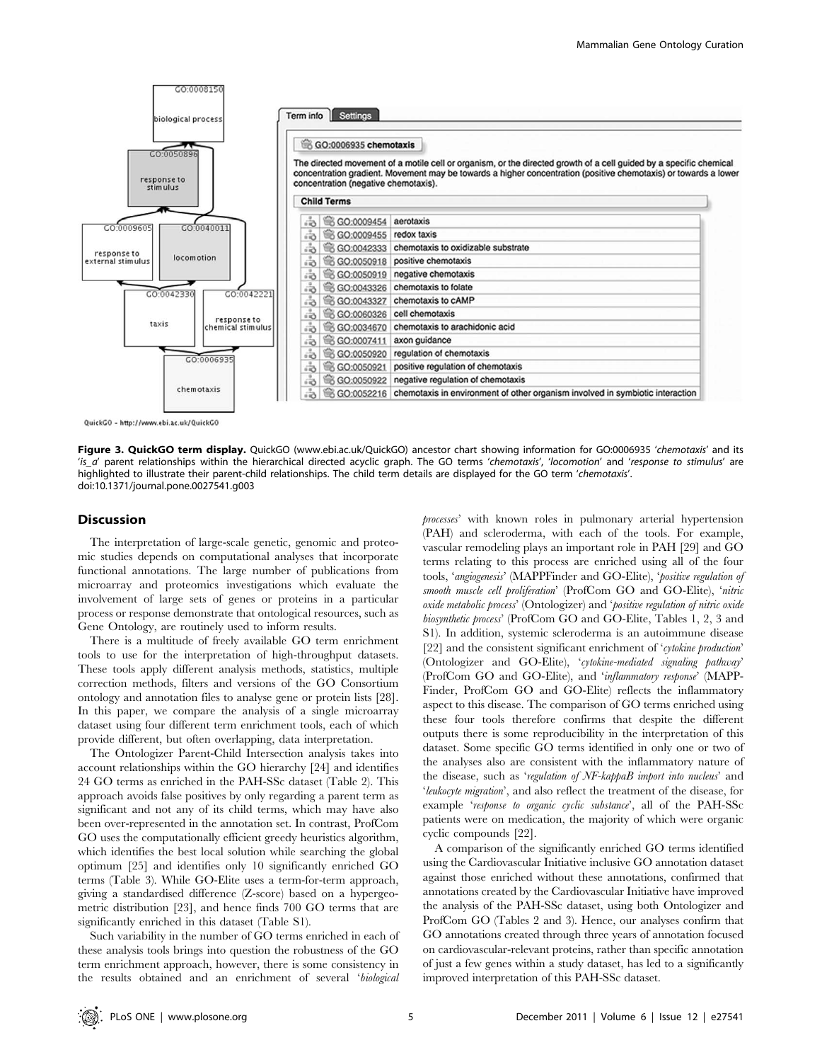

QuickGO - http://www.ebi.ac.uk/QuickGO

Figure 3. QuickGO term display. QuickGO (www.ebi.ac.uk/QuickGO) ancestor chart showing information for GO:0006935 'chemotaxis' and its 'is\_a' parent relationships within the hierarchical directed acyclic graph. The GO terms 'chemotaxis', 'locomotion' and 'response to stimulus' are highlighted to illustrate their parent-child relationships. The child term details are displayed for the GO term 'chemotaxis'. doi:10.1371/journal.pone.0027541.g003

#### Discussion

The interpretation of large-scale genetic, genomic and proteomic studies depends on computational analyses that incorporate functional annotations. The large number of publications from microarray and proteomics investigations which evaluate the involvement of large sets of genes or proteins in a particular process or response demonstrate that ontological resources, such as Gene Ontology, are routinely used to inform results.

There is a multitude of freely available GO term enrichment tools to use for the interpretation of high-throughput datasets. These tools apply different analysis methods, statistics, multiple correction methods, filters and versions of the GO Consortium ontology and annotation files to analyse gene or protein lists [28]. In this paper, we compare the analysis of a single microarray dataset using four different term enrichment tools, each of which provide different, but often overlapping, data interpretation.

The Ontologizer Parent-Child Intersection analysis takes into account relationships within the GO hierarchy [24] and identifies 24 GO terms as enriched in the PAH-SSc dataset (Table 2). This approach avoids false positives by only regarding a parent term as significant and not any of its child terms, which may have also been over-represented in the annotation set. In contrast, ProfCom GO uses the computationally efficient greedy heuristics algorithm, which identifies the best local solution while searching the global optimum [25] and identifies only 10 significantly enriched GO terms (Table 3). While GO-Elite uses a term-for-term approach, giving a standardised difference (Z-score) based on a hypergeometric distribution [23], and hence finds 700 GO terms that are significantly enriched in this dataset (Table S1).

Such variability in the number of GO terms enriched in each of these analysis tools brings into question the robustness of the GO term enrichment approach, however, there is some consistency in the results obtained and an enrichment of several 'biological processes' with known roles in pulmonary arterial hypertension (PAH) and scleroderma, with each of the tools. For example, vascular remodeling plays an important role in PAH [29] and GO terms relating to this process are enriched using all of the four tools, 'angiogenesis' (MAPPFinder and GO-Elite), 'positive regulation of smooth muscle cell proliferation' (ProfCom GO and GO-Elite), 'nitric oxide metabolic process' (Ontologizer) and 'positive regulation of nitric oxide biosynthetic process' (ProfCom GO and GO-Elite, Tables 1, 2, 3 and S1). In addition, systemic scleroderma is an autoimmune disease [22] and the consistent significant enrichment of 'cytokine production' (Ontologizer and GO-Elite), 'cytokine-mediated signaling pathway' (ProfCom GO and GO-Elite), and 'inflammatory response' (MAPP-Finder, ProfCom GO and GO-Elite) reflects the inflammatory aspect to this disease. The comparison of GO terms enriched using these four tools therefore confirms that despite the different outputs there is some reproducibility in the interpretation of this dataset. Some specific GO terms identified in only one or two of the analyses also are consistent with the inflammatory nature of the disease, such as 'regulation of NF-kappaB import into nucleus' and 'leukocyte migration', and also reflect the treatment of the disease, for example 'response to organic cyclic substance', all of the PAH-SSc patients were on medication, the majority of which were organic cyclic compounds [22].

A comparison of the significantly enriched GO terms identified using the Cardiovascular Initiative inclusive GO annotation dataset against those enriched without these annotations, confirmed that annotations created by the Cardiovascular Initiative have improved the analysis of the PAH-SSc dataset, using both Ontologizer and ProfCom GO (Tables 2 and 3). Hence, our analyses confirm that GO annotations created through three years of annotation focused on cardiovascular-relevant proteins, rather than specific annotation of just a few genes within a study dataset, has led to a significantly improved interpretation of this PAH-SSc dataset.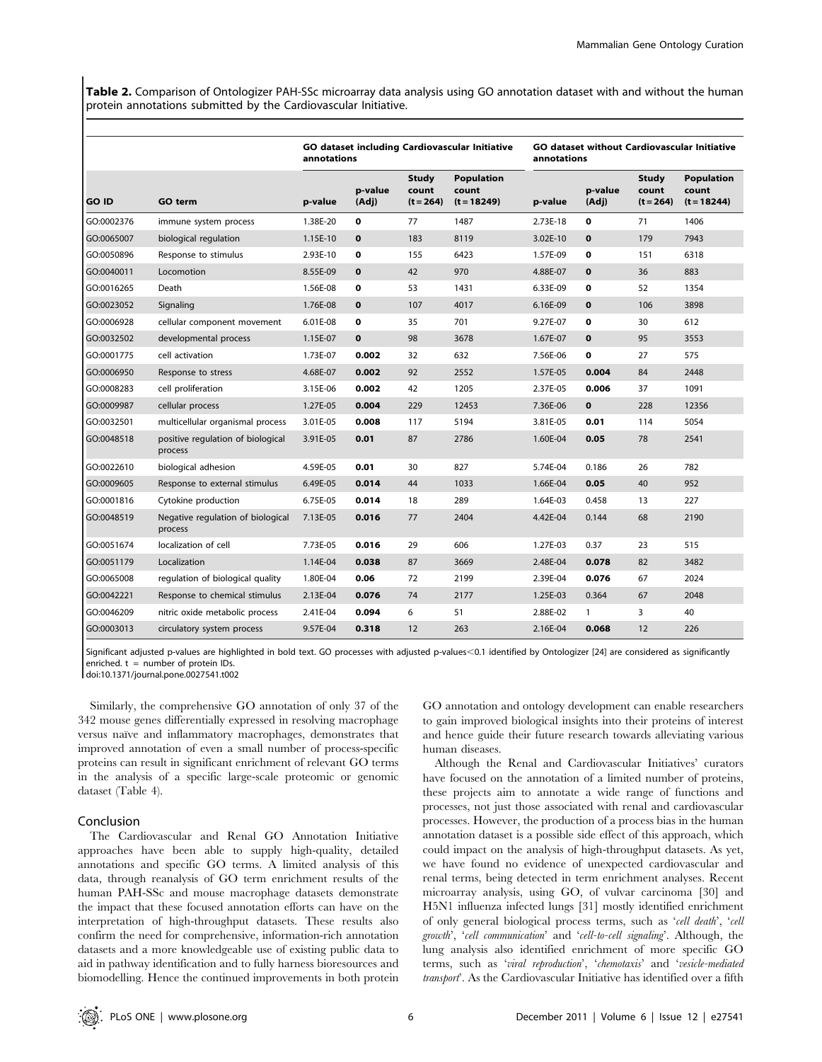Table 2. Comparison of Ontologizer PAH-SSc microarray data analysis using GO annotation dataset with and without the human protein annotations submitted by the Cardiovascular Initiative.

|              |                                              | GO dataset including Cardiovascular Initiative<br>annotations |                  |                                      | <b>GO dataset without Cardiovascular Initiative</b><br>annotations |          |                  |                                      |                                             |
|--------------|----------------------------------------------|---------------------------------------------------------------|------------------|--------------------------------------|--------------------------------------------------------------------|----------|------------------|--------------------------------------|---------------------------------------------|
| <b>GO ID</b> | GO term                                      | p-value                                                       | p-value<br>(Adj) | <b>Study</b><br>count<br>$(t = 264)$ | <b>Population</b><br>count<br>$(t = 18249)$                        | p-value  | p-value<br>(Adj) | <b>Study</b><br>count<br>$(t = 264)$ | <b>Population</b><br>count<br>$(t = 18244)$ |
| GO:0002376   | immune system process                        | 1.38E-20                                                      | 0                | 77                                   | 1487                                                               | 2.73E-18 | $\mathbf 0$      | 71                                   | 1406                                        |
| GO:0065007   | biological regulation                        | 1.15E-10                                                      | $\bf{0}$         | 183                                  | 8119                                                               | 3.02E-10 | $\bf{0}$         | 179                                  | 7943                                        |
| GO:0050896   | Response to stimulus                         | 2.93E-10                                                      | 0                | 155                                  | 6423                                                               | 1.57E-09 | 0                | 151                                  | 6318                                        |
| GO:0040011   | Locomotion                                   | 8.55E-09                                                      | $\mathbf 0$      | 42                                   | 970                                                                | 4.88E-07 | $\mathbf 0$      | 36                                   | 883                                         |
| GO:0016265   | Death                                        | 1.56E-08                                                      | 0                | 53                                   | 1431                                                               | 6.33E-09 | 0                | 52                                   | 1354                                        |
| GO:0023052   | Signaling                                    | 1.76E-08                                                      | $\mathbf{0}$     | 107                                  | 4017                                                               | 6.16E-09 | $\mathbf 0$      | 106                                  | 3898                                        |
| GO:0006928   | cellular component movement                  | 6.01E-08                                                      | 0                | 35                                   | 701                                                                | 9.27E-07 | $\mathbf 0$      | 30                                   | 612                                         |
| GO:0032502   | developmental process                        | 1.15E-07                                                      | $\mathbf 0$      | 98                                   | 3678                                                               | 1.67E-07 | $\mathbf 0$      | 95                                   | 3553                                        |
| GO:0001775   | cell activation                              | 1.73E-07                                                      | 0.002            | 32                                   | 632                                                                | 7.56E-06 | 0                | 27                                   | 575                                         |
| GO:0006950   | Response to stress                           | 4.68E-07                                                      | 0.002            | 92                                   | 2552                                                               | 1.57E-05 | 0.004            | 84                                   | 2448                                        |
| GO:0008283   | cell proliferation                           | 3.15E-06                                                      | 0.002            | 42                                   | 1205                                                               | 2.37E-05 | 0.006            | 37                                   | 1091                                        |
| GO:0009987   | cellular process                             | 1.27E-05                                                      | 0.004            | 229                                  | 12453                                                              | 7.36E-06 | $\mathbf 0$      | 228                                  | 12356                                       |
| GO:0032501   | multicellular organismal process             | 3.01E-05                                                      | 0.008            | 117                                  | 5194                                                               | 3.81E-05 | 0.01             | 114                                  | 5054                                        |
| GO:0048518   | positive regulation of biological<br>process | 3.91E-05                                                      | 0.01             | 87                                   | 2786                                                               | 1.60E-04 | 0.05             | 78                                   | 2541                                        |
| GO:0022610   | biological adhesion                          | 4.59E-05                                                      | 0.01             | 30                                   | 827                                                                | 5.74E-04 | 0.186            | 26                                   | 782                                         |
| GO:0009605   | Response to external stimulus                | 6.49E-05                                                      | 0.014            | 44                                   | 1033                                                               | 1.66E-04 | 0.05             | 40                                   | 952                                         |
| GO:0001816   | Cytokine production                          | 6.75E-05                                                      | 0.014            | 18                                   | 289                                                                | 1.64E-03 | 0.458            | 13                                   | 227                                         |
| GO:0048519   | Negative regulation of biological<br>process | 7.13E-05                                                      | 0.016            | 77                                   | 2404                                                               | 4.42E-04 | 0.144            | 68                                   | 2190                                        |
| GO:0051674   | localization of cell                         | 7.73E-05                                                      | 0.016            | 29                                   | 606                                                                | 1.27E-03 | 0.37             | 23                                   | 515                                         |
| GO:0051179   | Localization                                 | 1.14E-04                                                      | 0.038            | 87                                   | 3669                                                               | 2.48E-04 | 0.078            | 82                                   | 3482                                        |
| GO:0065008   | regulation of biological quality             | 1.80E-04                                                      | 0.06             | 72                                   | 2199                                                               | 2.39E-04 | 0.076            | 67                                   | 2024                                        |
| GO:0042221   | Response to chemical stimulus                | 2.13E-04                                                      | 0.076            | 74                                   | 2177                                                               | 1.25E-03 | 0.364            | 67                                   | 2048                                        |
| GO:0046209   | nitric oxide metabolic process               | 2.41E-04                                                      | 0.094            | 6                                    | 51                                                                 | 2.88E-02 | $\mathbf{1}$     | 3                                    | 40                                          |
| GO:0003013   | circulatory system process                   | 9.57E-04                                                      | 0.318            | 12                                   | 263                                                                | 2.16E-04 | 0.068            | 12                                   | 226                                         |

Significant adjusted p-values are highlighted in bold text. GO processes with adjusted p-values<0.1 identified by Ontologizer [24] are considered as significantly enriched.  $t =$  number of protein IDs.

doi:10.1371/journal.pone.0027541.t002

Similarly, the comprehensive GO annotation of only 37 of the 342 mouse genes differentially expressed in resolving macrophage versus naïve and inflammatory macrophages, demonstrates that improved annotation of even a small number of process-specific proteins can result in significant enrichment of relevant GO terms in the analysis of a specific large-scale proteomic or genomic dataset (Table 4).

## Conclusion

The Cardiovascular and Renal GO Annotation Initiative approaches have been able to supply high-quality, detailed annotations and specific GO terms. A limited analysis of this data, through reanalysis of GO term enrichment results of the human PAH-SSc and mouse macrophage datasets demonstrate the impact that these focused annotation efforts can have on the interpretation of high-throughput datasets. These results also confirm the need for comprehensive, information-rich annotation datasets and a more knowledgeable use of existing public data to aid in pathway identification and to fully harness bioresources and biomodelling. Hence the continued improvements in both protein GO annotation and ontology development can enable researchers to gain improved biological insights into their proteins of interest and hence guide their future research towards alleviating various human diseases.

Although the Renal and Cardiovascular Initiatives' curators have focused on the annotation of a limited number of proteins, these projects aim to annotate a wide range of functions and processes, not just those associated with renal and cardiovascular processes. However, the production of a process bias in the human annotation dataset is a possible side effect of this approach, which could impact on the analysis of high-throughput datasets. As yet, we have found no evidence of unexpected cardiovascular and renal terms, being detected in term enrichment analyses. Recent microarray analysis, using GO, of vulvar carcinoma [30] and H5N1 influenza infected lungs [31] mostly identified enrichment of only general biological process terms, such as 'cell death', 'cell growth', 'cell communication' and 'cell-to-cell signaling'. Although, the lung analysis also identified enrichment of more specific GO terms, such as 'viral reproduction', 'chemotaxis' and 'vesicle-mediated transport'. As the Cardiovascular Initiative has identified over a fifth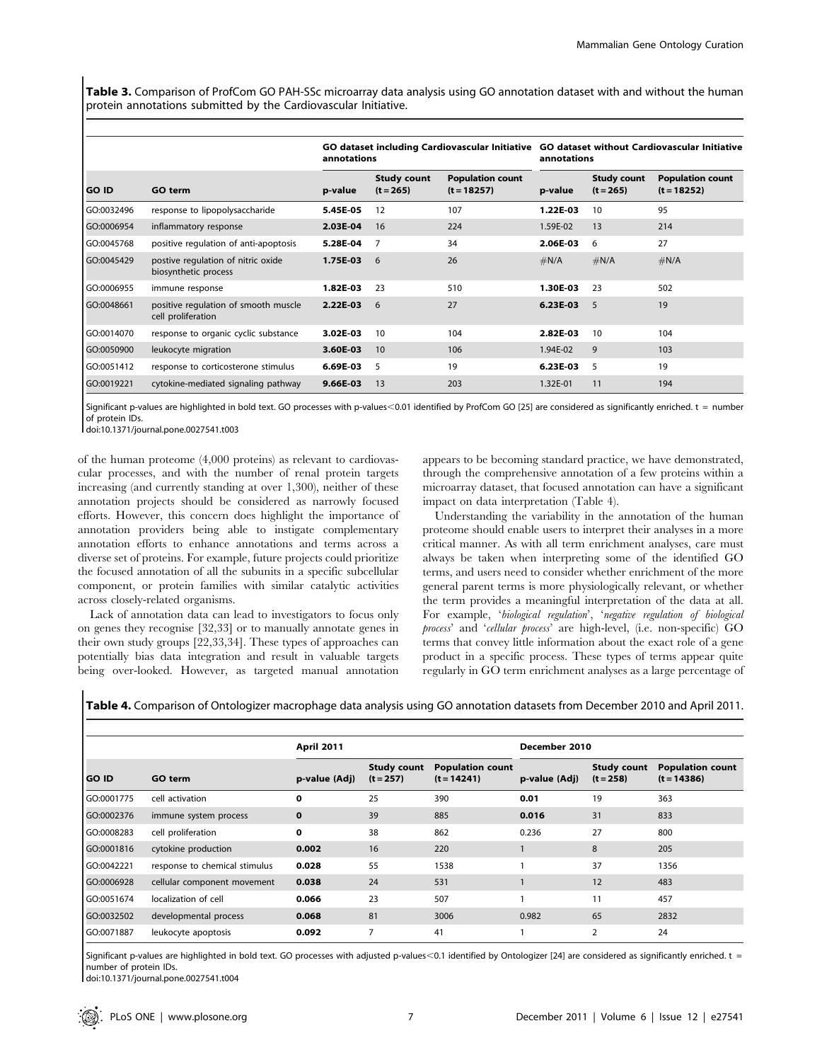Table 3. Comparison of ProfCom GO PAH-SSc microarray data analysis using GO annotation dataset with and without the human protein annotations submitted by the Cardiovascular Initiative.

|            |                                                            | annotations |                                   | GO dataset including Cardiovascular Initiative | <b>GO dataset without Cardiovascular Initiative</b><br>annotations |                                   |                                          |  |
|------------|------------------------------------------------------------|-------------|-----------------------------------|------------------------------------------------|--------------------------------------------------------------------|-----------------------------------|------------------------------------------|--|
| GO ID      | <b>GO term</b>                                             | p-value     | <b>Study count</b><br>$(t = 265)$ | <b>Population count</b><br>$(t = 18257)$       | p-value                                                            | <b>Study count</b><br>$(t = 265)$ | <b>Population count</b><br>$(t = 18252)$ |  |
| GO:0032496 | response to lipopolysaccharide                             | 5.45E-05    | 12                                | 107                                            | 1.22E-03                                                           | 10                                | 95                                       |  |
| GO:0006954 | inflammatory response                                      | 2.03E-04    | 16                                | 224                                            | 1.59E-02                                                           | 13                                | 214                                      |  |
| GO:0045768 | positive regulation of anti-apoptosis                      | 5.28E-04    | 7                                 | 34                                             | 2.06E-03                                                           | 6                                 | 27                                       |  |
| GO:0045429 | postive regulation of nitric oxide<br>biosynthetic process | 1.75E-03    | 6                                 | 26                                             | #N/A                                                               | #N/A                              | #N/A                                     |  |
| GO:0006955 | immune response                                            | 1.82E-03    | 23                                | 510                                            | 1.30E-03                                                           | 23                                | 502                                      |  |
| GO:0048661 | positive regulation of smooth muscle<br>cell proliferation | 2.22E-03    | 6                                 | 27                                             | 6.23E-03                                                           | 5                                 | 19                                       |  |
| GO:0014070 | response to organic cyclic substance                       | 3.02E-03    | 10                                | 104                                            | 2.82E-03                                                           | 10                                | 104                                      |  |
| GO:0050900 | leukocyte migration                                        | 3.60E-03    | 10                                | 106                                            | 1.94E-02                                                           | 9                                 | 103                                      |  |
| GO:0051412 | response to corticosterone stimulus                        | 6.69E-03    | 5                                 | 19                                             | 6.23E-03                                                           | 5                                 | 19                                       |  |
| GO:0019221 | cytokine-mediated signaling pathway                        | 9.66E-03    | 13                                | 203                                            | 1.32E-01                                                           | 11                                | 194                                      |  |

Significant p-values are highlighted in bold text. GO processes with p-values<0.01 identified by ProfCom GO [25] are considered as significantly enriched. t = number of protein IDs.

doi:10.1371/journal.pone.0027541.t003

of the human proteome (4,000 proteins) as relevant to cardiovascular processes, and with the number of renal protein targets increasing (and currently standing at over 1,300), neither of these annotation projects should be considered as narrowly focused efforts. However, this concern does highlight the importance of annotation providers being able to instigate complementary annotation efforts to enhance annotations and terms across a diverse set of proteins. For example, future projects could prioritize the focused annotation of all the subunits in a specific subcellular component, or protein families with similar catalytic activities across closely-related organisms.

Lack of annotation data can lead to investigators to focus only on genes they recognise [32,33] or to manually annotate genes in their own study groups [22,33,34]. These types of approaches can potentially bias data integration and result in valuable targets being over-looked. However, as targeted manual annotation appears to be becoming standard practice, we have demonstrated, through the comprehensive annotation of a few proteins within a microarray dataset, that focused annotation can have a significant impact on data interpretation (Table 4).

Understanding the variability in the annotation of the human proteome should enable users to interpret their analyses in a more critical manner. As with all term enrichment analyses, care must always be taken when interpreting some of the identified GO terms, and users need to consider whether enrichment of the more general parent terms is more physiologically relevant, or whether the term provides a meaningful interpretation of the data at all. For example, 'biological regulation', 'negative regulation of biological process' and 'cellular process' are high-level, (i.e. non-specific) GO terms that convey little information about the exact role of a gene product in a specific process. These types of terms appear quite regularly in GO term enrichment analyses as a large percentage of

Table 4. Comparison of Ontologizer macrophage data analysis using GO annotation datasets from December 2010 and April 2011.

|              |                               | <b>April 2011</b> |                                   |                                          | December 2010 |                                   |                                          |  |
|--------------|-------------------------------|-------------------|-----------------------------------|------------------------------------------|---------------|-----------------------------------|------------------------------------------|--|
| <b>GO ID</b> | GO term                       | p-value (Adj)     | <b>Study count</b><br>$(t = 257)$ | <b>Population count</b><br>$(t = 14241)$ | p-value (Adj) | <b>Study count</b><br>$(t = 258)$ | <b>Population count</b><br>$(t = 14386)$ |  |
| GO:0001775   | cell activation               | $\mathbf 0$       | 25                                | 390                                      | 0.01          | 19                                | 363                                      |  |
| GO:0002376   | immune system process         | $\bf{0}$          | 39                                | 885                                      | 0.016         | 31                                | 833                                      |  |
| GO:0008283   | cell proliferation            | $\mathbf 0$       | 38                                | 862                                      | 0.236         | 27                                | 800                                      |  |
| GO:0001816   | cytokine production           | 0.002             | 16                                | 220                                      |               | 8                                 | 205                                      |  |
| GO:0042221   | response to chemical stimulus | 0.028             | 55                                | 1538                                     |               | 37                                | 1356                                     |  |
| GO:0006928   | cellular component movement   | 0.038             | 24                                | 531                                      |               | 12                                | 483                                      |  |
| GO:0051674   | localization of cell          | 0.066             | 23                                | 507                                      |               | 11                                | 457                                      |  |
| GO:0032502   | developmental process         | 0.068             | 81                                | 3006                                     | 0.982         | 65                                | 2832                                     |  |
| GO:0071887   | leukocyte apoptosis           | 0.092             | 7                                 | 41                                       |               | 2                                 | 24                                       |  |

Significant p-values are highlighted in bold text. GO processes with adjusted p-values<0.1 identified by Ontologizer [24] are considered as significantly enriched. t = number of protein IDs.

doi:10.1371/journal.pone.0027541.t004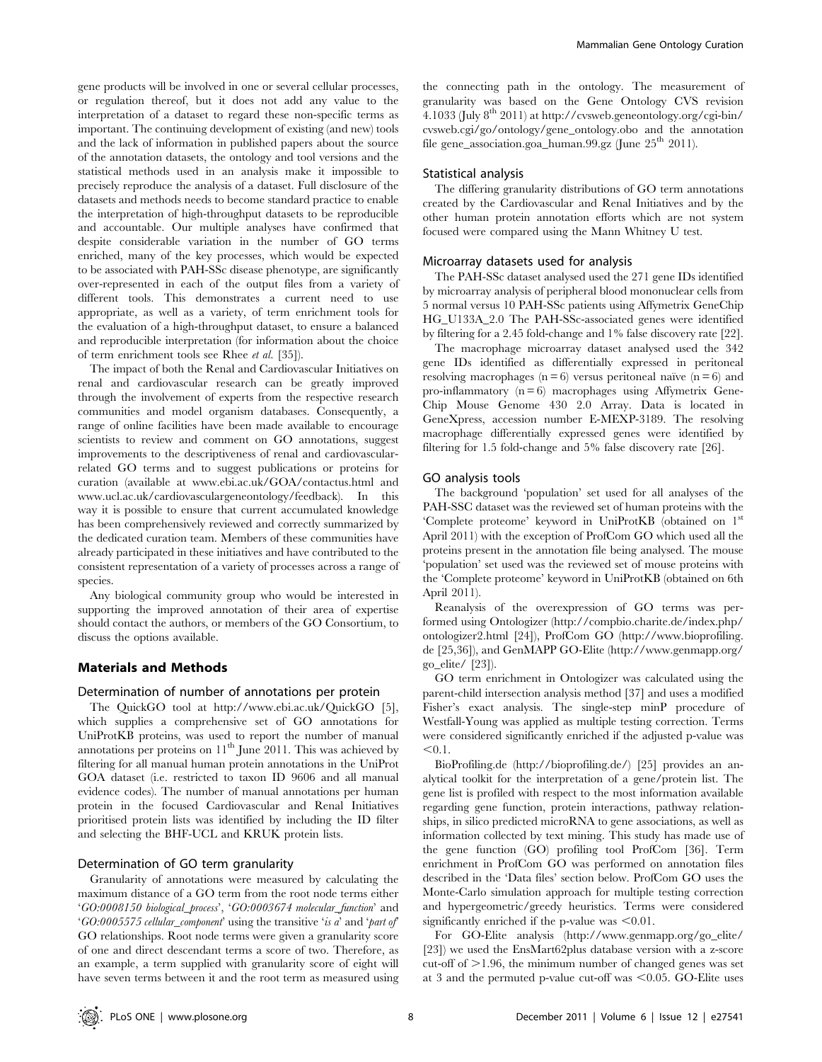gene products will be involved in one or several cellular processes, or regulation thereof, but it does not add any value to the interpretation of a dataset to regard these non-specific terms as important. The continuing development of existing (and new) tools and the lack of information in published papers about the source of the annotation datasets, the ontology and tool versions and the statistical methods used in an analysis make it impossible to precisely reproduce the analysis of a dataset. Full disclosure of the datasets and methods needs to become standard practice to enable the interpretation of high-throughput datasets to be reproducible and accountable. Our multiple analyses have confirmed that despite considerable variation in the number of GO terms enriched, many of the key processes, which would be expected to be associated with PAH-SSc disease phenotype, are significantly over-represented in each of the output files from a variety of different tools. This demonstrates a current need to use appropriate, as well as a variety, of term enrichment tools for the evaluation of a high-throughput dataset, to ensure a balanced and reproducible interpretation (for information about the choice of term enrichment tools see Rhee et al. [35]).

The impact of both the Renal and Cardiovascular Initiatives on renal and cardiovascular research can be greatly improved through the involvement of experts from the respective research communities and model organism databases. Consequently, a range of online facilities have been made available to encourage scientists to review and comment on GO annotations, suggest improvements to the descriptiveness of renal and cardiovascularrelated GO terms and to suggest publications or proteins for curation (available at www.ebi.ac.uk/GOA/contactus.html and www.ucl.ac.uk/cardiovasculargeneontology/feedback). In this way it is possible to ensure that current accumulated knowledge has been comprehensively reviewed and correctly summarized by the dedicated curation team. Members of these communities have already participated in these initiatives and have contributed to the consistent representation of a variety of processes across a range of species.

Any biological community group who would be interested in supporting the improved annotation of their area of expertise should contact the authors, or members of the GO Consortium, to discuss the options available.

#### Materials and Methods

#### Determination of number of annotations per protein

The QuickGO tool at http://www.ebi.ac.uk/QuickGO [5], which supplies a comprehensive set of GO annotations for UniProtKB proteins, was used to report the number of manual annotations per proteins on  $11<sup>th</sup>$  June 2011. This was achieved by filtering for all manual human protein annotations in the UniProt GOA dataset (i.e. restricted to taxon ID 9606 and all manual evidence codes). The number of manual annotations per human protein in the focused Cardiovascular and Renal Initiatives prioritised protein lists was identified by including the ID filter and selecting the BHF-UCL and KRUK protein lists.

## Determination of GO term granularity

Granularity of annotations were measured by calculating the maximum distance of a GO term from the root node terms either 'GO:0008150 biological\_process', 'GO:0003674 molecular\_function' and 'GO:0005575 cellular\_component' using the transitive 'is a' and 'part of' GO relationships. Root node terms were given a granularity score of one and direct descendant terms a score of two. Therefore, as an example, a term supplied with granularity score of eight will have seven terms between it and the root term as measured using the connecting path in the ontology. The measurement of granularity was based on the Gene Ontology CVS revision 4.1033 (July  $8^{th}$  2011) at http://cvsweb.geneontology.org/cgi-bin/ cvsweb.cgi/go/ontology/gene\_ontology.obo and the annotation file gene\_association.goa\_human.99.gz (June  $25<sup>th</sup> 2011$ ).

## Statistical analysis

The differing granularity distributions of GO term annotations created by the Cardiovascular and Renal Initiatives and by the other human protein annotation efforts which are not system focused were compared using the Mann Whitney U test.

## Microarray datasets used for analysis

The PAH-SSc dataset analysed used the 271 gene IDs identified by microarray analysis of peripheral blood mononuclear cells from 5 normal versus 10 PAH-SSc patients using Affymetrix GeneChip HG\_U133A\_2.0 The PAH-SSc-associated genes were identified by filtering for a 2.45 fold-change and 1% false discovery rate [22].

The macrophage microarray dataset analysed used the 342 gene IDs identified as differentially expressed in peritoneal resolving macrophages ( $n = 6$ ) versus peritoneal naïve ( $n = 6$ ) and pro-inflammatory  $(n = 6)$  macrophages using Affymetrix Gene-Chip Mouse Genome 430 2.0 Array. Data is located in GeneXpress, accession number E-MEXP-3189. The resolving macrophage differentially expressed genes were identified by filtering for 1.5 fold-change and 5% false discovery rate [26].

#### GO analysis tools

The background 'population' set used for all analyses of the PAH-SSC dataset was the reviewed set of human proteins with the 'Complete proteome' keyword in UniProtKB (obtained on 1st April 2011) with the exception of ProfCom GO which used all the proteins present in the annotation file being analysed. The mouse 'population' set used was the reviewed set of mouse proteins with the 'Complete proteome' keyword in UniProtKB (obtained on 6th April 2011).

Reanalysis of the overexpression of GO terms was performed using Ontologizer (http://compbio.charite.de/index.php/ ontologizer2.html [24]), ProfCom GO (http://www.bioprofiling. de [25,36]), and GenMAPP GO-Elite (http://www.genmapp.org/ go\_elite/ [23]).

GO term enrichment in Ontologizer was calculated using the parent-child intersection analysis method [37] and uses a modified Fisher's exact analysis. The single-step minP procedure of Westfall-Young was applied as multiple testing correction. Terms were considered significantly enriched if the adjusted p-value was  $< 0.1$ .

BioProfiling.de (http://bioprofiling.de/) [25] provides an analytical toolkit for the interpretation of a gene/protein list. The gene list is profiled with respect to the most information available regarding gene function, protein interactions, pathway relationships, in silico predicted microRNA to gene associations, as well as information collected by text mining. This study has made use of the gene function (GO) profiling tool ProfCom [36]. Term enrichment in ProfCom GO was performed on annotation files described in the 'Data files' section below. ProfCom GO uses the Monte-Carlo simulation approach for multiple testing correction and hypergeometric/greedy heuristics. Terms were considered significantly enriched if the p-value was  $<\!\!0.01.$ 

For GO-Elite analysis (http://www.genmapp.org/go\_elite/ [23]) we used the EnsMart62plus database version with a z-score cut-off of  $>1.96$ , the minimum number of changed genes was set at 3 and the permuted p-value cut-off was  $<$ 0.05. GO-Elite uses